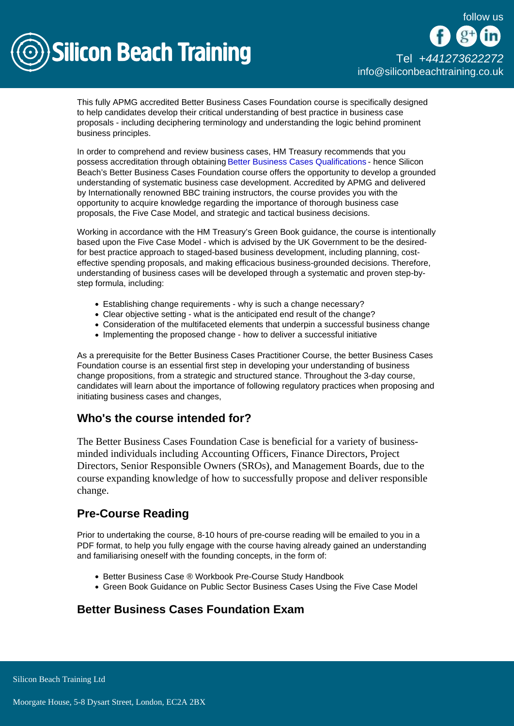

This fully APMG accredited Better Business Cases Foundation course is specifically designed to help candidates develop their critical understanding of best practice in business case proposals - including deciphering terminology and understanding the logic behind prominent business principles.

In order to comprehend and review business cases, HM Treasury recommends that you possess accreditation through obtaining [Better Business Cases Qualifications](/better-business-cases) - hence Silicon Beach's Better Business Cases Foundation course offers the opportunity to develop a grounded understanding of systematic business case development. Accredited by APMG and delivered by Internationally renowned BBC training instructors, the course provides you with the opportunity to acquire knowledge regarding the importance of thorough business case proposals, the Five Case Model, and strategic and tactical business decisions.

Working in accordance with the HM Treasury's Green Book guidance, the course is intentionally based upon the Five Case Model - which is advised by the UK Government to be the desiredfor best practice approach to staged-based business development, including planning, costeffective spending proposals, and making efficacious business-grounded decisions. Therefore, understanding of business cases will be developed through a systematic and proven step-bystep formula, including:

- Establishing change requirements why is such a change necessary?
- Clear objective setting what is the anticipated end result of the change?
- Consideration of the multifaceted elements that underpin a successful business change
- Implementing the proposed change how to deliver a successful initiative

As a prerequisite for the Better Business Cases Practitioner Course, the better Business Cases Foundation course is an essential first step in developing your understanding of business change propositions, from a strategic and structured stance. Throughout the 3-day course, candidates will learn about the importance of following regulatory practices when proposing and initiating business cases and changes,

## Who's the course intended for?

The Better Business Cases Foundation Case is beneficial for a variety of businessminded individuals including Accounting Officers, Finance Directors, Project Directors, Senior Responsible Owners (SROs), and Management Boards, due to the course expanding knowledge of how to successfully propose and deliver responsible change.

## Pre-Course Reading

Prior to undertaking the course, 8-10 hours of pre-course reading will be emailed to you in a PDF format, to help you fully engage with the course having already gained an understanding and familiarising oneself with the founding concepts, in the form of:

- Better Business Case ® Workbook Pre-Course Study Handbook
- Green Book Guidance on Public Sector Business Cases Using the Five Case Model

## Better Business Cases Foundation Exam